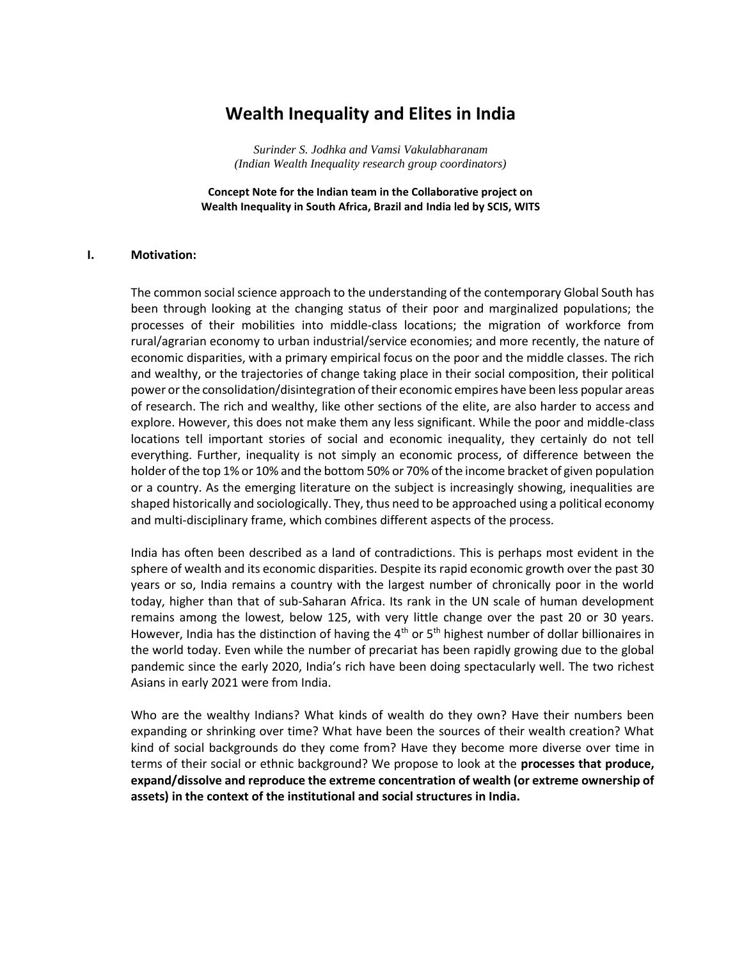# **Wealth Inequality and Elites in India**

*Surinder S. Jodhka and Vamsi Vakulabharanam (Indian Wealth Inequality research group coordinators)*

**Concept Note for the Indian team in the Collaborative project on Wealth Inequality in South Africa, Brazil and India led by SCIS, WITS**

#### **I. Motivation:**

The common social science approach to the understanding of the contemporary Global South has been through looking at the changing status of their poor and marginalized populations; the processes of their mobilities into middle-class locations; the migration of workforce from rural/agrarian economy to urban industrial/service economies; and more recently, the nature of economic disparities, with a primary empirical focus on the poor and the middle classes. The rich and wealthy, or the trajectories of change taking place in their social composition, their political power or the consolidation/disintegration of their economic empires have been less popular areas of research. The rich and wealthy, like other sections of the elite, are also harder to access and explore. However, this does not make them any less significant. While the poor and middle-class locations tell important stories of social and economic inequality, they certainly do not tell everything. Further, inequality is not simply an economic process, of difference between the holder of the top 1% or 10% and the bottom 50% or 70% of the income bracket of given population or a country. As the emerging literature on the subject is increasingly showing, inequalities are shaped historically and sociologically. They, thus need to be approached using a political economy and multi-disciplinary frame, which combines different aspects of the process.

India has often been described as a land of contradictions. This is perhaps most evident in the sphere of wealth and its economic disparities. Despite its rapid economic growth over the past 30 years or so, India remains a country with the largest number of chronically poor in the world today, higher than that of sub-Saharan Africa. Its rank in the UN scale of human development remains among the lowest, below 125, with very little change over the past 20 or 30 years. However, India has the distinction of having the  $4<sup>th</sup>$  or  $5<sup>th</sup>$  highest number of dollar billionaires in the world today. Even while the number of precariat has been rapidly growing due to the global pandemic since the early 2020, India's rich have been doing spectacularly well. The two richest Asians in early 2021 were from India.

Who are the wealthy Indians? What kinds of wealth do they own? Have their numbers been expanding or shrinking over time? What have been the sources of their wealth creation? What kind of social backgrounds do they come from? Have they become more diverse over time in terms of their social or ethnic background? We propose to look at the **processes that produce, expand/dissolve and reproduce the extreme concentration of wealth (or extreme ownership of assets) in the context of the institutional and social structures in India.**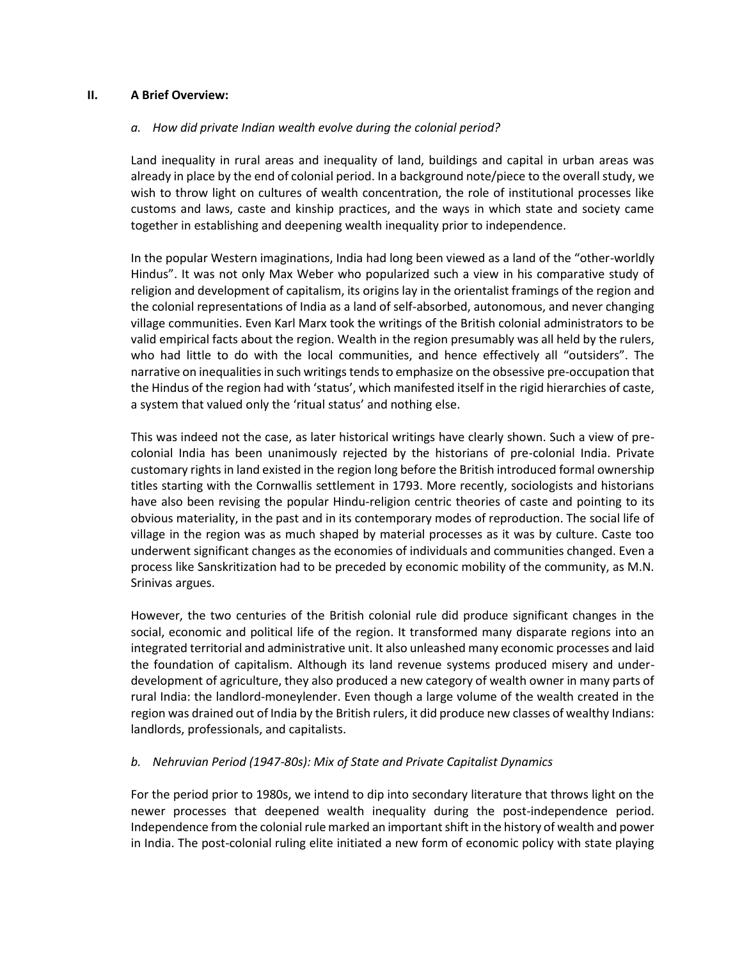## **II. A Brief Overview:**

## *a. How did private Indian wealth evolve during the colonial period?*

Land inequality in rural areas and inequality of land, buildings and capital in urban areas was already in place by the end of colonial period. In a background note/piece to the overall study, we wish to throw light on cultures of wealth concentration, the role of institutional processes like customs and laws, caste and kinship practices, and the ways in which state and society came together in establishing and deepening wealth inequality prior to independence.

In the popular Western imaginations, India had long been viewed as a land of the "other-worldly Hindus". It was not only Max Weber who popularized such a view in his comparative study of religion and development of capitalism, its origins lay in the orientalist framings of the region and the colonial representations of India as a land of self-absorbed, autonomous, and never changing village communities. Even Karl Marx took the writings of the British colonial administrators to be valid empirical facts about the region. Wealth in the region presumably was all held by the rulers, who had little to do with the local communities, and hence effectively all "outsiders". The narrative on inequalities in such writings tends to emphasize on the obsessive pre-occupation that the Hindus of the region had with 'status', which manifested itself in the rigid hierarchies of caste, a system that valued only the 'ritual status' and nothing else.

This was indeed not the case, as later historical writings have clearly shown. Such a view of precolonial India has been unanimously rejected by the historians of pre-colonial India. Private customary rights in land existed in the region long before the British introduced formal ownership titles starting with the Cornwallis settlement in 1793. More recently, sociologists and historians have also been revising the popular Hindu-religion centric theories of caste and pointing to its obvious materiality, in the past and in its contemporary modes of reproduction. The social life of village in the region was as much shaped by material processes as it was by culture. Caste too underwent significant changes as the economies of individuals and communities changed. Even a process like Sanskritization had to be preceded by economic mobility of the community, as M.N. Srinivas argues.

However, the two centuries of the British colonial rule did produce significant changes in the social, economic and political life of the region. It transformed many disparate regions into an integrated territorial and administrative unit. It also unleashed many economic processes and laid the foundation of capitalism. Although its land revenue systems produced misery and underdevelopment of agriculture, they also produced a new category of wealth owner in many parts of rural India: the landlord-moneylender. Even though a large volume of the wealth created in the region was drained out of India by the British rulers, it did produce new classes of wealthy Indians: landlords, professionals, and capitalists.

# *b. Nehruvian Period (1947-80s): Mix of State and Private Capitalist Dynamics*

For the period prior to 1980s, we intend to dip into secondary literature that throws light on the newer processes that deepened wealth inequality during the post-independence period. Independence from the colonial rule marked an important shift in the history of wealth and power in India. The post-colonial ruling elite initiated a new form of economic policy with state playing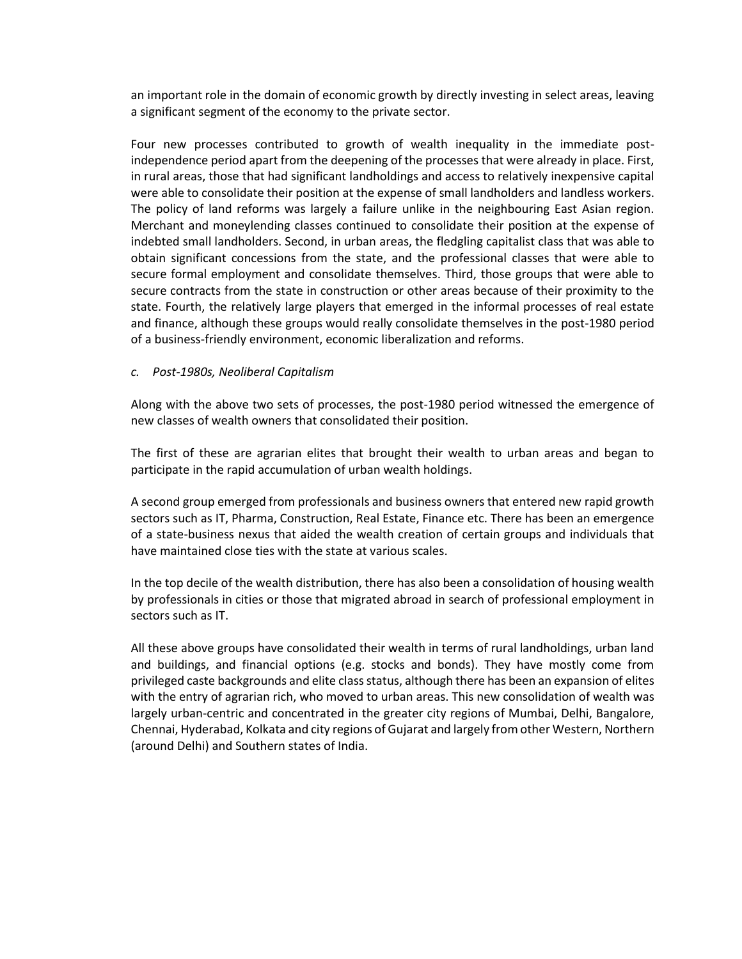an important role in the domain of economic growth by directly investing in select areas, leaving a significant segment of the economy to the private sector.

Four new processes contributed to growth of wealth inequality in the immediate postindependence period apart from the deepening of the processes that were already in place. First, in rural areas, those that had significant landholdings and access to relatively inexpensive capital were able to consolidate their position at the expense of small landholders and landless workers. The policy of land reforms was largely a failure unlike in the neighbouring East Asian region. Merchant and moneylending classes continued to consolidate their position at the expense of indebted small landholders. Second, in urban areas, the fledgling capitalist class that was able to obtain significant concessions from the state, and the professional classes that were able to secure formal employment and consolidate themselves. Third, those groups that were able to secure contracts from the state in construction or other areas because of their proximity to the state. Fourth, the relatively large players that emerged in the informal processes of real estate and finance, although these groups would really consolidate themselves in the post-1980 period of a business-friendly environment, economic liberalization and reforms.

## *c. Post-1980s, Neoliberal Capitalism*

Along with the above two sets of processes, the post-1980 period witnessed the emergence of new classes of wealth owners that consolidated their position.

The first of these are agrarian elites that brought their wealth to urban areas and began to participate in the rapid accumulation of urban wealth holdings.

A second group emerged from professionals and business owners that entered new rapid growth sectors such as IT, Pharma, Construction, Real Estate, Finance etc. There has been an emergence of a state-business nexus that aided the wealth creation of certain groups and individuals that have maintained close ties with the state at various scales.

In the top decile of the wealth distribution, there has also been a consolidation of housing wealth by professionals in cities or those that migrated abroad in search of professional employment in sectors such as IT.

All these above groups have consolidated their wealth in terms of rural landholdings, urban land and buildings, and financial options (e.g. stocks and bonds). They have mostly come from privileged caste backgrounds and elite class status, although there has been an expansion of elites with the entry of agrarian rich, who moved to urban areas. This new consolidation of wealth was largely urban-centric and concentrated in the greater city regions of Mumbai, Delhi, Bangalore, Chennai, Hyderabad, Kolkata and city regions of Gujarat and largely from other Western, Northern (around Delhi) and Southern states of India.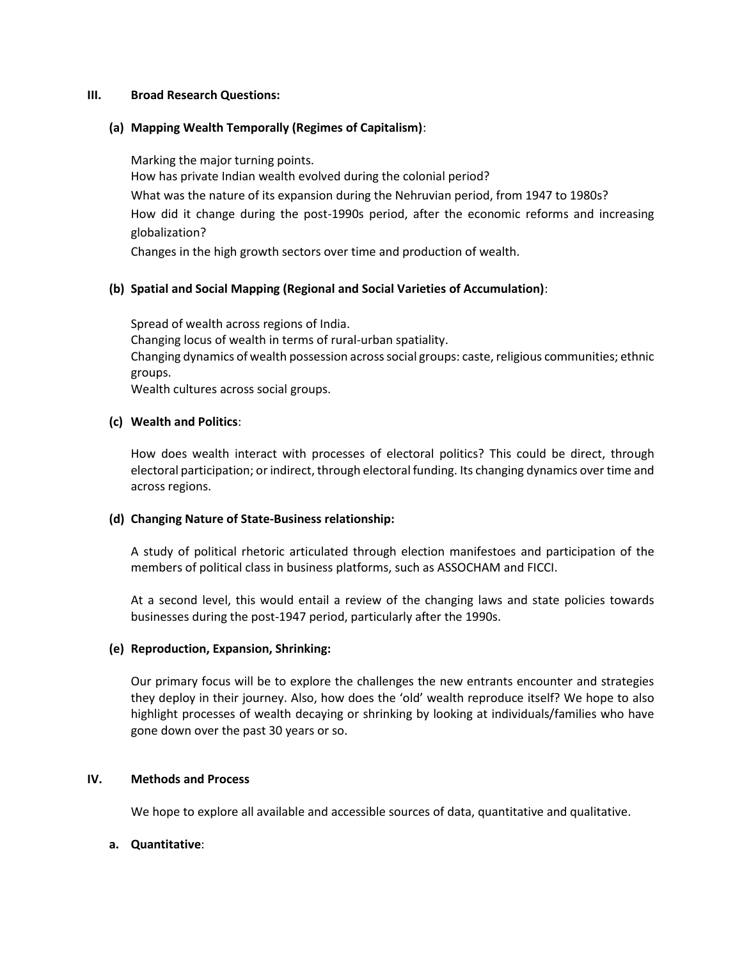### **III. Broad Research Questions:**

## **(a) Mapping Wealth Temporally (Regimes of Capitalism)**:

Marking the major turning points.

How has private Indian wealth evolved during the colonial period?

What was the nature of its expansion during the Nehruvian period, from 1947 to 1980s? How did it change during the post-1990s period, after the economic reforms and increasing globalization?

Changes in the high growth sectors over time and production of wealth.

# **(b) Spatial and Social Mapping (Regional and Social Varieties of Accumulation)**:

Spread of wealth across regions of India. Changing locus of wealth in terms of rural-urban spatiality. Changing dynamics of wealth possession across social groups: caste, religious communities; ethnic groups. Wealth cultures across social groups.

# **(c) Wealth and Politics**:

How does wealth interact with processes of electoral politics? This could be direct, through electoral participation; or indirect, through electoral funding. Its changing dynamics over time and across regions.

# **(d) Changing Nature of State-Business relationship:**

A study of political rhetoric articulated through election manifestoes and participation of the members of political class in business platforms, such as ASSOCHAM and FICCI.

At a second level, this would entail a review of the changing laws and state policies towards businesses during the post-1947 period, particularly after the 1990s.

# **(e) Reproduction, Expansion, Shrinking:**

Our primary focus will be to explore the challenges the new entrants encounter and strategies they deploy in their journey. Also, how does the 'old' wealth reproduce itself? We hope to also highlight processes of wealth decaying or shrinking by looking at individuals/families who have gone down over the past 30 years or so.

# **IV. Methods and Process**

We hope to explore all available and accessible sources of data, quantitative and qualitative.

# **a. Quantitative**: